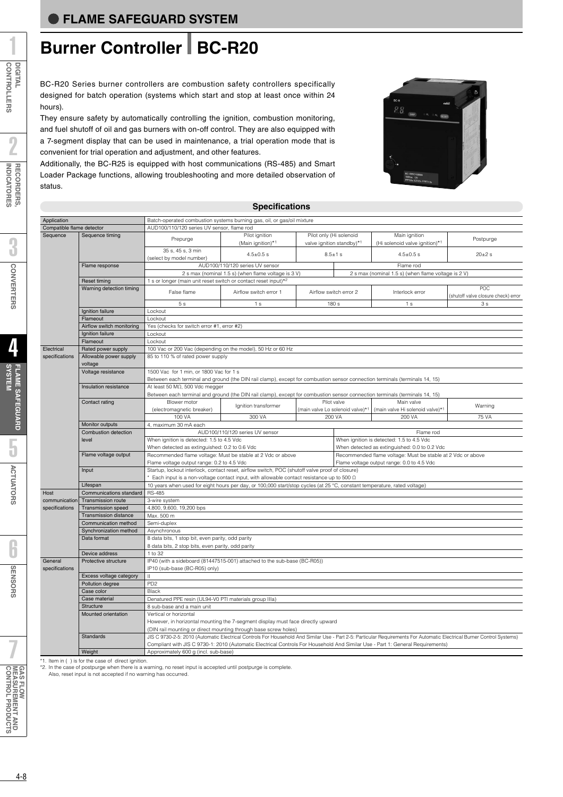# **Burner Controller BC-R20**

BC-R20 Series burner controllers are combustion safety controllers specifically designed for batch operation (systems which start and stop at least once within 24 hours).

They ensure safety by automatically controlling the ignition, combustion monitoring, and fuel shutoff of oil and gas burners with on-off control. They are also equipped with a 7-segment display that can be used in maintenance, a trial operation mode that is convenient for trial operation and adjustment, and other features.

Additionally, the BC-R25 is equipped with host communications (RS-485) and Smart Loader Package functions, allowing troubleshooting and more detailed observation of status.



### **Specifications** Batch-operated combustion systems burning gas AUD100/110/120 series UV sensor, flame rod Prepurge Pilot ignition Pilot only (Hi solenoid Main ignition Postpurge Prepurge Postpurge (Main ignition)\*1 valve ignition standby)\*1 (Hi solenoid valve ignition)\*1 Postpurge  $35 \text{ s}, 45 \text{ s}, 3 \text{ min}$ <br>  $4.5 \pm 0.5 \text{ s}$ <br>  $30 \pm 2 \text{ s}$ <br>  $4.5 \pm 0.5 \text{ s}$ <br>  $30 \pm 2 \text{ s}$ <br>  $30 \pm 2 \text{ s}$ AUDITION SERIES AND SERIES UV SERIES OF STREET ALL THE SERIES OF SERIES OF SERIES OF STREET ALL THE SERIES OF STREET AND THE SERIES OF STREET AND THE SERIES OF STREET AND THE SERIES OF STREET AND STREET AND STREET AND STRE 2 s max (nominal 1.5 s) (when flame voltage is 3 V) 2 s max (nominal 1.5 s) (when flame voltage is 2 V) s or longer (main unit reset switch or contact reset input) False flame Airflow switch error 1 Airflow switch error 2 Interlock error POC<br>
(shutoff value closure check) error 1 (shutoff valve closure check) error check) error check) error check) error check) error check) error check) error check) error check) error check) error check) error check) error check) error check) error check) error chec 5 s 1 s 180 s 1 s 3 s Lockout Lockout Yes (checks for switch error #1, error #2) Lockout Lockout 100 Vac or 200 Vac (depending on the model), 50 Hz or 60 Hz 85 to 110 % of rated power supply 1500 Vac for 1 min, or 1800 Vac for 1 s Between each terminal and ground (the DIN rail clamp), except for combustion sensor connection terminals (terminals 14, 15) At least 50 MΩ, 500 Vdc megger Between each terminal and ground (the DIN rail clamp), except for combustion sensor connection terminals (terminals 14, 15) Blower motor Ignition transformer Pilot valve Main valve Main valve Main valve Warning<br>
(electromagnetic breaker) 100 VA 300 VA 200 VA 200 VA 200 VA 75 VA 75 VA 100 VA 300 VA 200 VA 200 VA 75 VA maximum 30 mA each AUD100/110/120 series UV sensor Flame rod When ignition is detected: 1.5 to 4.5 Vdc<br>When ignition is detected: 1.5 to 4.5 Vdc When detected as extinquished: 0.2 to 0.6 Vdc When detected as extinquished: 0.0 to 0.2 Vdc Recommended flame voltage: Must be stable at 2 Vdc or above Recommended flame voltage: Must be stable at 2 Vdc or above Flame voltage output range: 0.2 to 4.5 Vdc Flame voltage output range: 0.0 to 4.5 Vdc Startup, lockout interlock, contact reset, airflow switch, POC (shutoff valve proof of closure) \* Each input is a non-voltage contact input, with allowable contact resistance up to 500 Ω 10 years when used for eight hours per day, or 100,000 start/stop cycles (at 25 °C, constant temperature, rated voltage) RS-485 3-wire system 4,800, 9,600, 19,200 bps Max. 500 m Semi-duplex Asynchronous 8 data bits, 1 stop bit, even parity, odd parity 8 data bits, 2 stop bits, even parity, odd parity 1 to 32 IP40 (with a sideboard (81447515-001) attached to the sub-base (BC-R05)) IP10 (sub-base (BC-R05) only) II P<sub>D2</sub> Black Denatured PPE resin (UL94-V0 PTI materials group IIIa) 8 sub-base and a main unit Vertical or horizontal However, in horizontal mounting the 7-segment display must face directly upward (DIN rail mounting or direct mounting through base screw holes) JIS C 9730-2-5: 2010 (Automatic Electrical Controls For Household And Similar Use - Part 2-5: Particular Requirements For Automatic Electrical Burner Control Systems) Compliant with JIS C 9730-1: 2010 (Automatic Electrical Controls For Household And Similar Use - Part 1: General Requirements) Approximately 600 g (incl. sub-base) Application Compatible flame detector Sequence **Electrical** specifications **Host** communication specifications **General** specifications Sequence timing Flame response Reset timing Warning detection timing Ignition failure **Flameout** Airflow switch monitoring Ignition failure Flameout Rated power supply Allowable power supply voltage Voltage resistance Insulation resistance Contact rating Monitor outputs Combustion detection level Flame voltage output **Input** Lifespan Communications stand Transmission route Transmission speed Transmission distance Communication method Synchronization method Data format Device address Protective structure Excess voltage category Pollution degree Case color Case material **Structure** Mounted orientation **Standards** Weight

\*1. Item in ( ) is for the case of direct ignition.

\*2. In the case of postpurge when there is a warning, no reset input is accepted until postpurge is complete.

Also, reset input is not accepted if no warning has occurred.

2

5

**SENSORS**

**SENSORS** 

7

**CONTROL PRODUCTS MEASUREMENT AND** 

GAS FLOW<br>MEASUREMENT AND<br>CONTROL PRODUCTS

**GAS FLOW**